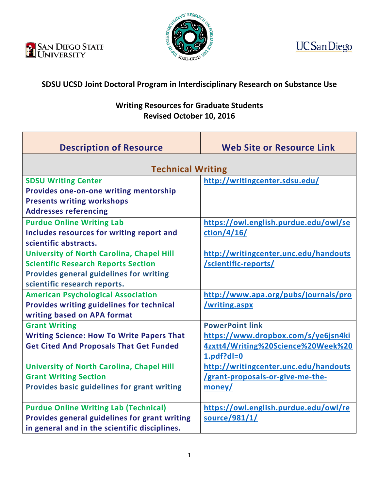





## **SDSU UCSD Joint Doctoral Program in Interdisciplinary Research on Substance Use**

## **Writing Resources for Graduate Students Revised October 10, 2016**

| <b>Description of Resource</b>                     | <b>Web Site or Resource Link</b>      |
|----------------------------------------------------|---------------------------------------|
|                                                    |                                       |
| <b>Technical Writing</b>                           |                                       |
| <b>SDSU Writing Center</b>                         | http://writingcenter.sdsu.edu/        |
| Provides one-on-one writing mentorship             |                                       |
| <b>Presents writing workshops</b>                  |                                       |
| <b>Addresses referencing</b>                       |                                       |
| <b>Purdue Online Writing Lab</b>                   | https://owl.english.purdue.edu/owl/se |
| Includes resources for writing report and          | ction/4/16/                           |
| scientific abstracts.                              |                                       |
| <b>University of North Carolina, Chapel Hill</b>   | http://writingcenter.unc.edu/handouts |
| <b>Scientific Research Reports Section</b>         | /scientific-reports/                  |
| Provides general guidelines for writing            |                                       |
| scientific research reports.                       |                                       |
| <b>American Psychological Association</b>          | http://www.apa.org/pubs/journals/pro  |
| <b>Provides writing guidelines for technical</b>   | /writing.aspx                         |
| writing based on APA format                        |                                       |
| <b>Grant Writing</b>                               | <b>PowerPoint link</b>                |
| <b>Writing Science: How To Write Papers That</b>   | https://www.dropbox.com/s/ye6jsn4ki   |
| <b>Get Cited And Proposals That Get Funded</b>     | 4zxtt4/Writing%20Science%20Week%20    |
|                                                    | $1.pdf$ : dl=0                        |
| <b>University of North Carolina, Chapel Hill</b>   | http://writingcenter.unc.edu/handouts |
| <b>Grant Writing Section</b>                       | /grant-proposals-or-give-me-the-      |
| <b>Provides basic guidelines for grant writing</b> | money/                                |
|                                                    |                                       |
| <b>Purdue Online Writing Lab (Technical)</b>       | https://owl.english.purdue.edu/owl/re |
| Provides general guidelines for grant writing      | source/981/1/                         |
| in general and in the scientific disciplines.      |                                       |